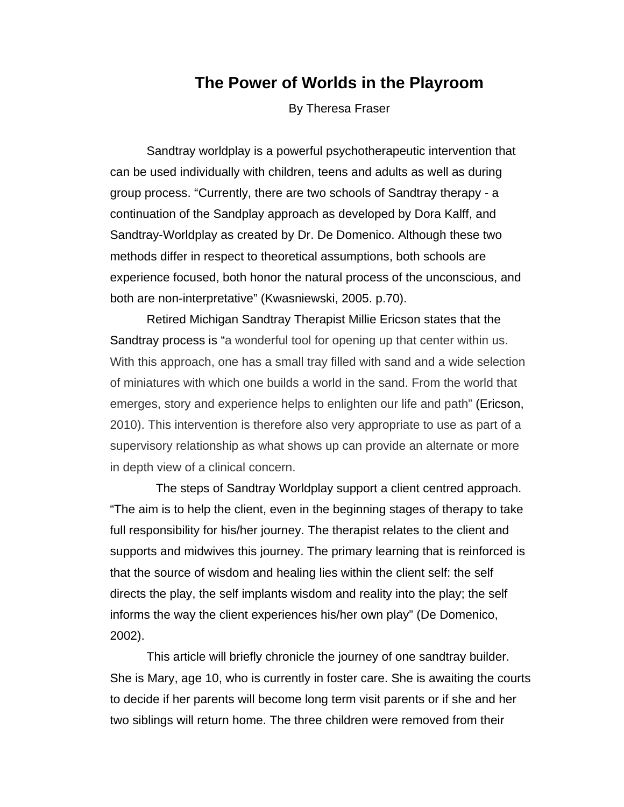## **The Power of Worlds in the Playroom**

By Theresa Fraser

Sandtray worldplay is a powerful psychotherapeutic intervention that can be used individually with children, teens and adults as well as during group process. "Currently, there are two schools of Sandtray therapy - a continuation of the Sandplay approach as developed by Dora Kalff, and Sandtray-Worldplay as created by Dr. De Domenico. Although these two methods differ in respect to theoretical assumptions, both schools are experience focused, both honor the natural process of the unconscious, and both are non-interpretative" (Kwasniewski, 2005. p.70).

 Retired Michigan Sandtray Therapist Millie Ericson states that the Sandtray process is "a wonderful tool for opening up that center within us. With this approach, one has a small tray filled with sand and a wide selection of miniatures with which one builds a world in the sand. From the world that emerges, story and experience helps to enlighten our life and path" (Ericson, 2010). This intervention is therefore also very appropriate to use as part of a supervisory relationship as what shows up can provide an alternate or more in depth view of a clinical concern.

The steps of Sandtray Worldplay support a client centred approach. "The aim is to help the client, even in the beginning stages of therapy to take full responsibility for his/her journey. The therapist relates to the client and supports and midwives this journey. The primary learning that is reinforced is that the source of wisdom and healing lies within the client self: the self directs the play, the self implants wisdom and reality into the play; the self informs the way the client experiences his/her own play" (De Domenico, 2002).

This article will briefly chronicle the journey of one sandtray builder. She is Mary, age 10, who is currently in foster care. She is awaiting the courts to decide if her parents will become long term visit parents or if she and her two siblings will return home. The three children were removed from their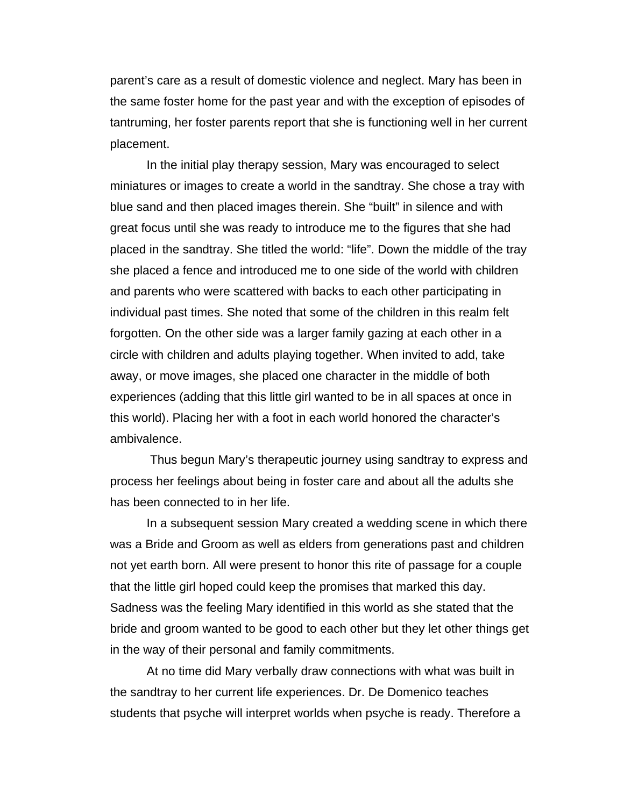parent's care as a result of domestic violence and neglect. Mary has been in the same foster home for the past year and with the exception of episodes of tantruming, her foster parents report that she is functioning well in her current placement.

In the initial play therapy session, Mary was encouraged to select miniatures or images to create a world in the sandtray. She chose a tray with blue sand and then placed images therein. She "built" in silence and with great focus until she was ready to introduce me to the figures that she had placed in the sandtray. She titled the world: "life". Down the middle of the tray she placed a fence and introduced me to one side of the world with children and parents who were scattered with backs to each other participating in individual past times. She noted that some of the children in this realm felt forgotten. On the other side was a larger family gazing at each other in a circle with children and adults playing together. When invited to add, take away, or move images, she placed one character in the middle of both experiences (adding that this little girl wanted to be in all spaces at once in this world). Placing her with a foot in each world honored the character's ambivalence.

 Thus begun Mary's therapeutic journey using sandtray to express and process her feelings about being in foster care and about all the adults she has been connected to in her life.

In a subsequent session Mary created a wedding scene in which there was a Bride and Groom as well as elders from generations past and children not yet earth born. All were present to honor this rite of passage for a couple that the little girl hoped could keep the promises that marked this day. Sadness was the feeling Mary identified in this world as she stated that the bride and groom wanted to be good to each other but they let other things get in the way of their personal and family commitments.

At no time did Mary verbally draw connections with what was built in the sandtray to her current life experiences. Dr. De Domenico teaches students that psyche will interpret worlds when psyche is ready. Therefore a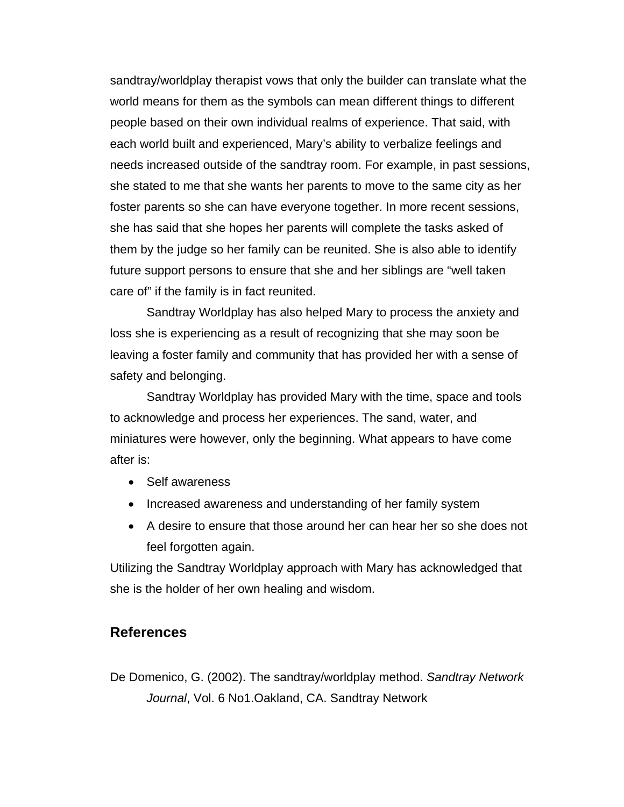sandtray/worldplay therapist vows that only the builder can translate what the world means for them as the symbols can mean different things to different people based on their own individual realms of experience. That said, with each world built and experienced, Mary's ability to verbalize feelings and needs increased outside of the sandtray room. For example, in past sessions, she stated to me that she wants her parents to move to the same city as her foster parents so she can have everyone together. In more recent sessions, she has said that she hopes her parents will complete the tasks asked of them by the judge so her family can be reunited. She is also able to identify future support persons to ensure that she and her siblings are "well taken care of" if the family is in fact reunited.

Sandtray Worldplay has also helped Mary to process the anxiety and loss she is experiencing as a result of recognizing that she may soon be leaving a foster family and community that has provided her with a sense of safety and belonging.

Sandtray Worldplay has provided Mary with the time, space and tools to acknowledge and process her experiences. The sand, water, and miniatures were however, only the beginning. What appears to have come after is:

- Self awareness
- Increased awareness and understanding of her family system
- A desire to ensure that those around her can hear her so she does not feel forgotten again.

Utilizing the Sandtray Worldplay approach with Mary has acknowledged that she is the holder of her own healing and wisdom.

## **References**

De Domenico, G. (2002). The sandtray/worldplay method. *Sandtray Network Journal*, Vol. 6 No1.Oakland, CA. Sandtray Network